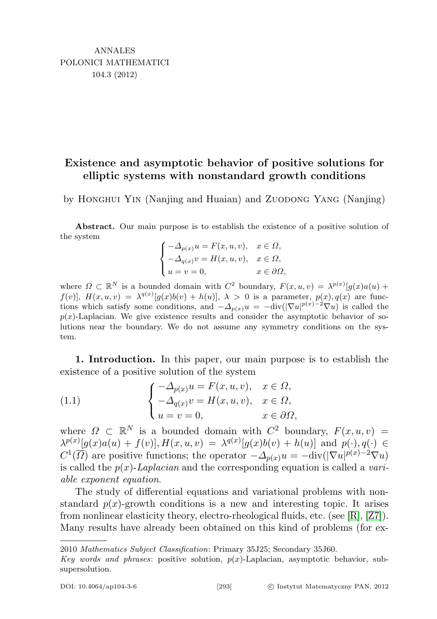## Existence and asymptotic behavior of positive solutions for elliptic systems with nonstandard growth conditions

by Honghui Yin (Nanjing and Huaian) and Zuodong Yang (Nanjing)

Abstract. Our main purpose is to establish the existence of a positive solution of the system

$$
\begin{cases}\n-\Delta_{p(x)}u = F(x, u, v), & x \in \Omega, \\
-\Delta_{q(x)}v = H(x, u, v), & x \in \Omega, \\
u = v = 0, & x \in \partial\Omega,\n\end{cases}
$$

where  $\Omega \subset \mathbb{R}^N$  is a bounded domain with  $C^2$  boundary,  $F(x, u, v) = \lambda^{p(x)}[g(x)a(u) +$  $f(v)$ ,  $H(x, u, v) = \lambda^{q(x)}[g(x)b(v) + h(u)], \lambda > 0$  is a parameter,  $p(x), q(x)$  are functions which satisfy some conditions, and  $-\Delta_{p(x)}u = -\text{div}(|\nabla u|^{p(x)-2}\nabla u)$  is called the  $p(x)$ -Laplacian. We give existence results and consider the asymptotic behavior of solutions near the boundary. We do not assume any symmetry conditions on the system.

1. Introduction. In this paper, our main purpose is to establish the existence of a positive solution of the system

(1.1) 
$$
\begin{cases}\n-\Delta_{p(x)}u = F(x, u, v), & x \in \Omega, \\
-\Delta_{q(x)}v = H(x, u, v), & x \in \Omega, \\
u = v = 0, & x \in \partial\Omega,\n\end{cases}
$$

where  $\Omega \subset \mathbb{R}^N$  is a bounded domain with  $C^2$  boundary,  $F(x, u, v) =$  $\lambda^{p(x)}[g(x)a(u) + f(v)],$   $H(x, u, v) = \lambda^{q(x)}[g(x)b(v) + h(u)]$  and  $p(\cdot), q(\cdot) \in$  $C^1(\overline{\Omega})$  are positive functions; the operator  $-\Delta_{p(x)}u = -\text{div}(|\nabla u|^{p(x)-2}\nabla u)$ is called the  $p(x)$ -Laplacian and the corresponding equation is called a variable exponent equation.

The study of differential equations and variational problems with nonstandard  $p(x)$ -growth conditions is a new and interesting topic. It arises from nonlinear elasticity theory, electro-rheological fluids, etc. (see [\[R\]](#page-14-0), [\[Z7\]](#page-15-0)). Many results have already been obtained on this kind of problems (for ex-

<sup>2010</sup> Mathematics Subject Classification: Primary 35J25; Secondary 35J60.

Key words and phrases: positive solution,  $p(x)$ -Laplacian, asymptotic behavior, subsupersolution.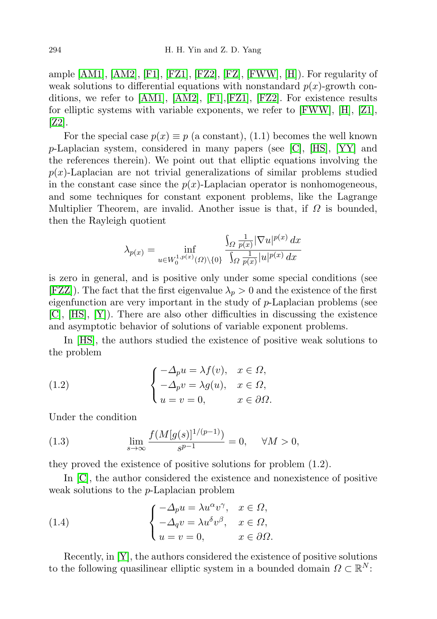ample  $[AM1]$ ,  $[AM2]$ ,  $[F1]$ ,  $[FZ1]$ ,  $[FZ2]$ ,  $[FZ]$ ,  $[FWW]$ ,  $[H]$ ). For regularity of weak solutions to differential equations with nonstandard  $p(x)$ -growth conditions, we refer to [\[AM1\]](#page-14-1), [\[AM2\]](#page-14-2), [\[F1\]](#page-14-3),[\[FZ1\]](#page-14-4), [\[FZ2\]](#page-14-5). For existence results for elliptic systems with variable exponents, we refer to  $[FWW]$ ,  $[H]$ ,  $[Z1]$ , [\[Z2\]](#page-15-2).

For the special case  $p(x) \equiv p$  (a constant), (1.1) becomes the well known  $p$ -Laplacian system, considered in many papers (see [\[C\]](#page-14-9), [\[HS\]](#page-14-10), [\[YY\]](#page-15-3) and the references therein). We point out that elliptic equations involving the  $p(x)$ -Laplacian are not trivial generalizations of similar problems studied in the constant case since the  $p(x)$ -Laplacian operator is nonhomogeneous, and some techniques for constant exponent problems, like the Lagrange Multiplier Theorem, are invalid. Another issue is that, if  $\Omega$  is bounded, then the Rayleigh quotient

$$
\lambda_{p(x)} = \inf_{u \in W_0^{1,p(x)}(\Omega) \backslash \{0\}} \frac{\int_{\Omega} \frac{1}{p(x)} |\nabla u|^{p(x)} dx}{\int_{\Omega} \frac{1}{p(x)} |u|^{p(x)} dx}
$$

is zero in general, and is positive only under some special conditions (see [\[FZZ\]](#page-14-11)). The fact that the first eigenvalue  $\lambda_p > 0$  and the existence of the first eigenfunction are very important in the study of  $p$ -Laplacian problems (see [\[C\]](#page-14-9), [\[HS\]](#page-14-10), [\[Y\]](#page-15-4)). There are also other difficulties in discussing the existence and asymptotic behavior of solutions of variable exponent problems.

In [\[HS\]](#page-14-10), the authors studied the existence of positive weak solutions to the problem

(1.2) 
$$
\begin{cases}\n-\Delta_p u = \lambda f(v), & x \in \Omega, \\
-\Delta_p v = \lambda g(u), & x \in \Omega, \\
u = v = 0, & x \in \partial\Omega.\n\end{cases}
$$

Under the condition

(1.3) 
$$
\lim_{s \to \infty} \frac{f(M[g(s)]^{1/(p-1)})}{s^{p-1}} = 0, \quad \forall M > 0,
$$

they proved the existence of positive solutions for problem (1.2).

In [\[C\]](#page-14-9), the author considered the existence and nonexistence of positive weak solutions to the p-Laplacian problem

(1.4) 
$$
\begin{cases}\n-\Delta_p u = \lambda u^{\alpha} v^{\gamma}, & x \in \Omega, \\
-\Delta_q v = \lambda u^{\delta} v^{\beta}, & x \in \Omega, \\
u = v = 0, & x \in \partial\Omega.\n\end{cases}
$$

Recently, in [\[Y\]](#page-15-4), the authors considered the existence of positive solutions to the following quasilinear elliptic system in a bounded domain  $\Omega \subset \mathbb{R}^N$ :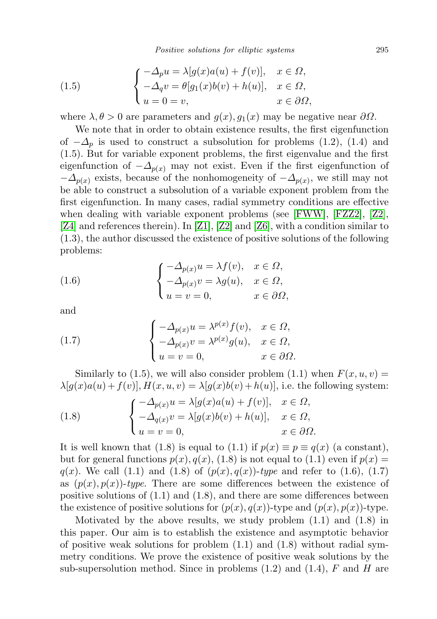Positive solutions for elliptic systems 295

(1.5) 
$$
\begin{cases}\n-\Delta_p u = \lambda [g(x)a(u) + f(v)], & x \in \Omega, \\
-\Delta_q v = \theta [g_1(x)b(v) + h(u)], & x \in \Omega, \\
u = 0 = v, & x \in \partial\Omega,\n\end{cases}
$$

where  $\lambda, \theta > 0$  are parameters and  $g(x), g_1(x)$  may be negative near  $\partial \Omega$ .

We note that in order to obtain existence results, the first eigenfunction of  $-\Delta_p$  is used to construct a subsolution for problems (1.2), (1.4) and (1.5). But for variable exponent problems, the first eigenvalue and the first eigenfunction of  $-\Delta_{p(x)}$  may not exist. Even if the first eigenfunction of  $-\Delta_{p(x)}$  exists, because of the nonhomogeneity of  $-\Delta_{p(x)}$ , we still may not be able to construct a subsolution of a variable exponent problem from the first eigenfunction. In many cases, radial symmetry conditions are effective when dealing with variable exponent problems (see [\[FWW\]](#page-14-7), [\[FZZ2\]](#page-14-12), [\[Z2\]](#page-15-2), [\[Z4\]](#page-15-5) and references therein). In [\[Z1\]](#page-15-1), [\[Z2\]](#page-15-2) and [\[Z6\]](#page-15-6), with a condition similar to (1.3), the author discussed the existence of positive solutions of the following problems:

(1.6) 
$$
\begin{cases}\n-\Delta_{p(x)}u = \lambda f(v), & x \in \Omega, \\
-\Delta_{p(x)}v = \lambda g(u), & x \in \Omega, \\
u = v = 0, & x \in \partial\Omega,\n\end{cases}
$$

and

(1.7) 
$$
\begin{cases}\n-\Delta_{p(x)}u = \lambda^{p(x)}f(v), & x \in \Omega, \\
-\Delta_{p(x)}v = \lambda^{p(x)}g(u), & x \in \Omega, \\
u = v = 0, & x \in \partial\Omega.\n\end{cases}
$$

Similarly to (1.5), we will also consider problem (1.1) when  $F(x, u, v) =$  $\lambda[q(x)a(u) + f(v)]$ ,  $H(x, u, v) = \lambda[q(x)b(v) + h(u)]$ , i.e. the following system:

(1.8) 
$$
\begin{cases}\n-\Delta_{p(x)}u = \lambda[g(x)a(u) + f(v)], & x \in \Omega, \\
-\Delta_{q(x)}v = \lambda[g(x)b(v) + h(u)], & x \in \Omega, \\
u = v = 0, & x \in \partial\Omega.\n\end{cases}
$$

It is well known that (1.8) is equal to (1.1) if  $p(x) \equiv p \equiv q(x)$  (a constant), but for general functions  $p(x)$ ,  $q(x)$ , (1.8) is not equal to (1.1) even if  $p(x) =$  $q(x)$ . We call (1.1) and (1.8) of  $(p(x), q(x))$ -type and refer to (1.6), (1.7) as  $(p(x), p(x))$ -type. There are some differences between the existence of positive solutions of  $(1.1)$  and  $(1.8)$ , and there are some differences between the existence of positive solutions for  $(p(x), q(x))$ -type and  $(p(x), p(x))$ -type.

Motivated by the above results, we study problem (1.1) and (1.8) in this paper. Our aim is to establish the existence and asymptotic behavior of positive weak solutions for problem  $(1.1)$  and  $(1.8)$  without radial symmetry conditions. We prove the existence of positive weak solutions by the sub-supersolution method. Since in problems  $(1.2)$  and  $(1.4)$ , F and H are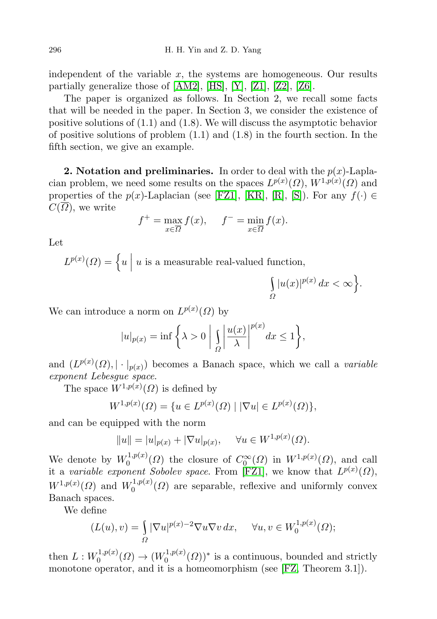independent of the variable  $x$ , the systems are homogeneous. Our results partially generalize those of [\[AM2\]](#page-14-2), [\[HS\]](#page-14-10), [\[Y\]](#page-15-4), [\[Z1\]](#page-15-1), [\[Z2\]](#page-15-2), [\[Z6\]](#page-15-6).

The paper is organized as follows. In Section 2, we recall some facts that will be needed in the paper. In Section 3, we consider the existence of positive solutions of (1.1) and (1.8). We will discuss the asymptotic behavior of positive solutions of problem  $(1.1)$  and  $(1.8)$  in the fourth section. In the fifth section, we give an example.

**2. Notation and preliminaries.** In order to deal with the  $p(x)$ -Laplacian problem, we need some results on the spaces  $L^{p(x)}(\Omega)$ ,  $W^{1,p(x)}(\Omega)$  and properties of the p(x)-Laplacian (see [\[FZ1\]](#page-14-4), [\[KR\]](#page-14-13), [\[R\]](#page-14-0), [\[S\]](#page-15-7)). For any  $f(\cdot) \in$  $C(\Omega)$ , we write

$$
f^+ = \max_{x \in \overline{\Omega}} f(x), \quad f^- = \min_{x \in \overline{\Omega}} f(x).
$$

Let

 $L^{p(x)}(\Omega) = \left\{ u \mid \right.$ u is a measurable real-valued function,

$$
\int_{\Omega} |u(x)|^{p(x)} dx < \infty \Big\}.
$$

We can introduce a norm on  $L^{p(x)}(\Omega)$  by

$$
|u|_{p(x)} = \inf \left\{ \lambda > 0 \mid \int_{\Omega} \left| \frac{u(x)}{\lambda} \right|^{p(x)} dx \le 1 \right\},\
$$

and  $(L^{p(x)}(\Omega), |\cdot|_{p(x)})$  becomes a Banach space, which we call a *variable* exponent Lebesgue space.

The space  $W^{1,p(x)}(\Omega)$  is defined by

$$
W^{1,p(x)}(\Omega) = \{ u \in L^{p(x)}(\Omega) \mid |\nabla u| \in L^{p(x)}(\Omega) \},\
$$

and can be equipped with the norm

$$
||u|| = |u|_{p(x)} + |\nabla u|_{p(x)}, \quad \forall u \in W^{1,p(x)}(\Omega).
$$

We denote by  $W_0^{1,p(x)}$  $\mathcal{O}_0^{(1,p(x))}(\Omega)$  the closure of  $C_0^{\infty}(\Omega)$  in  $W^{1,p(x)}(\Omega)$ , and call it a variable exponent Sobolev space. From [\[FZ1\]](#page-14-4), we know that  $L^{p(x)}(\Omega)$ ,  $W^{1,p(x)}(\Omega)$  and  $W_0^{1,p(x)}$  $0^{(1,p(x))}$  are separable, reflexive and uniformly convex Banach spaces.

We define

$$
(L(u), v) = \int_{\Omega} |\nabla u|^{p(x)-2} \nabla u \nabla v \, dx, \quad \forall u, v \in W_0^{1, p(x)}(\Omega);
$$

then  $L: W_0^{1,p(x)}$  $\chi_0^{1,p(x)}(\Omega) \to (W_0^{1,p(x)})$  $(0, \log^{1,p(x)}(Q))^*$  is a continuous, bounded and strictly monotone operator, and it is a homeomorphism (see [\[FZ,](#page-14-6) Theorem 3.1]).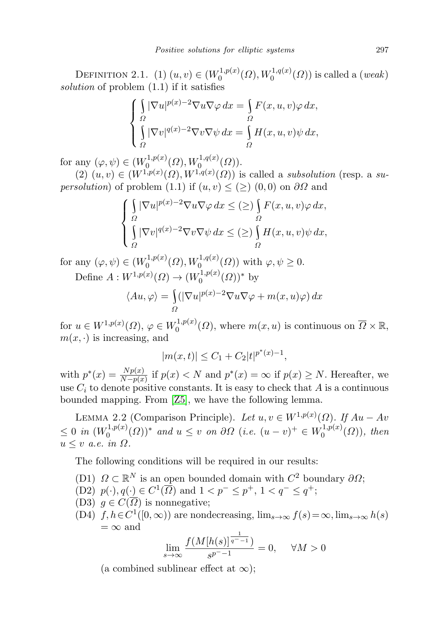DEFINITION 2.1. (1)  $(u, v) \in (W_0^{1, p(x)})$  $U_0^{1,p(x)}(\Omega),W_0^{1,q(x)}(\Omega))$  is called a (*weak*) solution of problem (1.1) if it satisfies

$$
\begin{cases}\n\int_{\Omega} |\nabla u|^{p(x)-2} \nabla u \nabla \varphi \, dx = \int_{\Omega} F(x, u, v) \varphi \, dx, \\
\int_{\Omega} |\nabla v|^{q(x)-2} \nabla v \nabla \psi \, dx = \int_{\Omega} H(x, u, v) \psi \, dx,\n\end{cases}
$$

for any  $(\varphi, \psi) \in (W_0^{1,p(x)})$  $W^{1,p(x)}_0(\Omega), W^{1,q(x)}_0(\Omega)).$ 

 $(2)$   $(u, v) \in (W^{1,p(x)}(\Omega), W^{1,q(x)}(\Omega))$  is called a subsolution (resp. a su*persolution*) of problem (1.1) if  $(u, v) \leq (\geq)$  (0,0) on  $\partial\Omega$  and

$$
\begin{cases} \int_{\Omega} |\nabla u|^{p(x)-2} \nabla u \nabla \varphi \, dx \leq (\geq) \int_{\Omega} F(x, u, v) \varphi \, dx, \\ \int_{\Omega} |\nabla v|^{q(x)-2} \nabla v \nabla \psi \, dx \leq (\geq) \int_{\Omega} H(x, u, v) \psi \, dx, \end{cases}
$$

for any  $(\varphi, \psi) \in (W_0^{1, p(x))}$  $U_0^{1,p(x)}(\Omega), W_0^{1,q(x)}(\Omega)$  with  $\varphi, \psi \ge 0$ . Define  $A: W^{1,p(x)}(\Omega) \to (W^{1,p(x)}_0)$  $b_0^{1,p(x)}(\Omega))^*$  by

$$
\langle Au, \varphi \rangle = \int_{\Omega} (|\nabla u|^{p(x)-2} \nabla u \nabla \varphi + m(x, u)\varphi) dx
$$

for  $u \in W^{1,p(x)}(\Omega)$ ,  $\varphi \in W_0^{1,p(x)}$  $\overline{0}^{1,p(x)}(0)$ , where  $m(x, u)$  is continuous on  $\overline{\Omega} \times \mathbb{R}$ ,  $m(x, \cdot)$  is increasing, and

$$
|m(x,t)| \le C_1 + C_2 |t|^{p^*(x)-1},
$$

with  $p^*(x) = \frac{Np(x)}{N-p(x)}$  if  $p(x) < N$  and  $p^*(x) = \infty$  if  $p(x) \ge N$ . Hereafter, we use  $C_i$  to denote positive constants. It is easy to check that A is a continuous bounded mapping. From [\[Z5\]](#page-15-8), we have the following lemma.

LEMMA 2.2 (Comparison Principle). Let  $u, v \in W^{1,p(x)}(\Omega)$ . If  $Au - Av$  $\leq 0$  in  $(W_0^{1,p(x)})$  $(0,0,0)$ <sup>\*</sup> and  $u ≤ v$  on  $\partial\Omega$  (i.e.  $(u - v)^{+} ∈ W_0^{1,p(x)}$  $\binom{1,p(x)}{0}$ , then  $u \leq v$  a.e. in  $\Omega$ .

The following conditions will be required in our results:

- (D1)  $\Omega \subset \mathbb{R}^N$  is an open bounded domain with  $C^2$  boundary  $\partial\Omega$ ;
- (D2)  $p(\cdot), q(\cdot) \in C^1(\overline{\Omega})$  and  $1 < p^- \leq p^+, 1 < q^- \leq q^+;$
- (D3)  $q \in C(\overline{\Omega})$  is nonnegative;
- (D4)  $f, h \in C^1([0, \infty))$  are nondecreasing,  $\lim_{s \to \infty} f(s) = \infty$ ,  $\lim_{s \to \infty} h(s)$  $=\infty$  and 1

$$
\lim_{s \to \infty} \frac{f(M[h(s)]^{\frac{1}{q^- - 1}})}{s^{p^- - 1}} = 0, \quad \forall M > 0
$$

(a combined sublinear effect at  $\infty$ );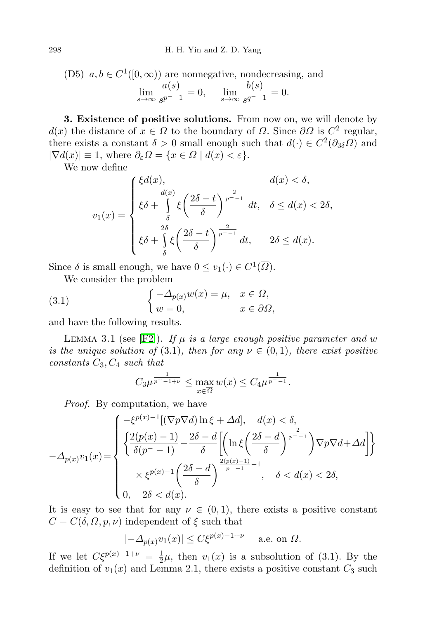(D5) 
$$
a, b \in C^1([0, \infty))
$$
 are nonnegative, nondecreasing, and  
\n
$$
\lim_{s \to \infty} \frac{a(s)}{s^{p^--1}} = 0, \quad \lim_{s \to \infty} \frac{b(s)}{s^{q^--1}} = 0.
$$

3. Existence of positive solutions. From now on, we will denote by  $d(x)$  the distance of  $x \in \Omega$  to the boundary of  $\Omega$ . Since  $\partial\Omega$  is  $C^2$  regular, there exists a constant  $\delta > 0$  small enough such that  $d(\cdot) \in C^2(\overline{\partial_{3\delta}\Omega})$  and  $|\nabla d(x)| \equiv 1$ , where  $\partial_{\varepsilon} \Omega = \{x \in \Omega \mid d(x) < \varepsilon\}.$ 

We now define

$$
v_1(x) = \begin{cases} \xi d(x), & d(x) < \delta, \\ \xi \delta + \int_{\delta}^{d(x)} \xi \left(\frac{2\delta - t}{\delta}\right)^{\frac{2}{p^--1}} dt, & \delta \le d(x) < 2\delta, \\ \xi \delta + \int_{\delta}^{2\delta} \xi \left(\frac{2\delta - t}{\delta}\right)^{\frac{2}{p^--1}} dt, & 2\delta \le d(x). \end{cases}
$$

Since  $\delta$  is small enough, we have  $0 \le v_1(\cdot) \in C^1(\overline{\Omega})$ .

We consider the problem

(3.1) 
$$
\begin{cases} -\Delta_{p(x)}w(x) = \mu, & x \in \Omega, \\ w = 0, & x \in \partial\Omega, \end{cases}
$$

and have the following results.

LEMMA 3.1 (see [\[F2\]](#page-14-14)). If  $\mu$  is a large enough positive parameter and w is the unique solution of (3.1), then for any  $\nu \in (0,1)$ , there exist positive constants  $C_3, C_4$  such that

$$
C_3 \mu^{\frac{1}{p^+ - 1 + \nu}} \le \max_{x \in \overline{\Omega}} w(x) \le C_4 \mu^{\frac{1}{p^- - 1}}.
$$

Proof. By computation, we have

$$
-\Delta_{p(x)}v_1(x) = \begin{cases} -\xi^{p(x)-1}[(\nabla p \nabla d) \ln \xi + \Delta d], & d(x) < \delta, \\ \left\{ \frac{2(p(x)-1)}{\delta(p^2-1)} - \frac{2\delta - d}{\delta} \left[ \left( \ln \xi \left( \frac{2\delta - d}{\delta} \right)^{\frac{2}{p^2-1}} \right) \nabla p \nabla d + \Delta d \right] \right\} \\ & \times \xi^{p(x)-1} \left( \frac{2\delta - d}{\delta} \right)^{\frac{2(p(x)-1)}{p^2-1} - 1}, & \delta < d(x) < 2\delta, \\ 0, & 2\delta < d(x). \end{cases}
$$

It is easy to see that for any  $\nu \in (0,1)$ , there exists a positive constant  $C = C(\delta, \Omega, p, \nu)$  independent of  $\xi$  such that

$$
|-\Delta_{p(x)}v_1(x)| \le C\xi^{p(x)-1+\nu} \quad \text{a.e. on } \Omega.
$$

If we let  $C\xi^{p(x)-1+\nu} = \frac{1}{2}$  $\frac{1}{2}\mu$ , then  $v_1(x)$  is a subsolution of (3.1). By the definition of  $v_1(x)$  and Lemma 2.1, there exists a positive constant  $C_3$  such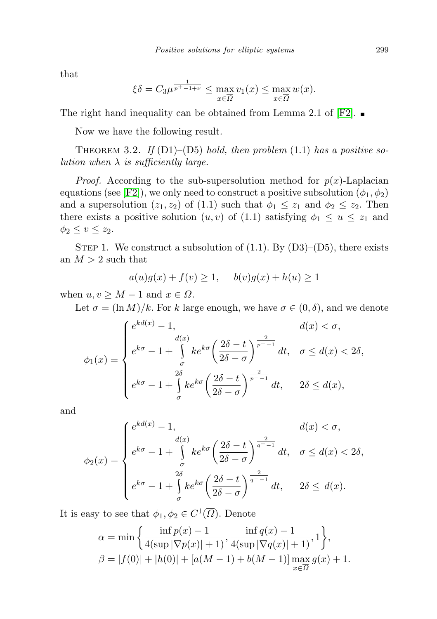that

$$
\xi \delta = C_3 \mu^{\frac{1}{p^+ - 1 + \nu}} \le \max_{x \in \overline{\Omega}} v_1(x) \le \max_{x \in \overline{\Omega}} w(x).
$$

The right hand inequality can be obtained from Lemma 2.1 of  $[{\rm F2}]$ .

Now we have the following result.

THEOREM 3.2. If  $(D1)$ – $(D5)$  hold, then problem  $(1.1)$  has a positive solution when  $\lambda$  is sufficiently large.

*Proof.* According to the sub-supersolution method for  $p(x)$ -Laplacian equations (see [\[F2\]](#page-14-14)), we only need to construct a positive subsolution  $(\phi_1, \phi_2)$ and a supersolution  $(z_1, z_2)$  of  $(1.1)$  such that  $\phi_1 \leq z_1$  and  $\phi_2 \leq z_2$ . Then there exists a positive solution  $(u, v)$  of  $(1.1)$  satisfying  $\phi_1 \leq u \leq z_1$  and  $\phi_2 \leq v \leq z_2$ .

STEP 1. We construct a subsolution of  $(1.1)$ . By  $(D3)$ – $(D5)$ , there exists an  $M > 2$  such that

$$
a(u)g(x) + f(v) \ge 1, \quad b(v)g(x) + h(u) \ge 1
$$

when  $u, v \geq M - 1$  and  $x \in \Omega$ .

Let  $\sigma = (\ln M)/k$ . For k large enough, we have  $\sigma \in (0, \delta)$ , and we denote

$$
\phi_1(x) = \begin{cases}\ne^{kd(x)} - 1, & d(x) < \sigma, \\
e^{k\sigma} - 1 + \int_{\sigma}^{d(x)} ke^{k\sigma} \left(\frac{2\delta - t}{2\delta - \sigma}\right)^{\frac{2}{p^2 - 1}} dt, & \sigma \le d(x) < 2\delta, \\
e^{k\sigma} - 1 + \int_{\sigma}^{2\delta} ke^{k\sigma} \left(\frac{2\delta - t}{2\delta - \sigma}\right)^{\frac{2}{p^2 - 1}} dt, & 2\delta \le d(x),\n\end{cases}
$$

and

$$
\phi_2(x) = \begin{cases}\ne^{kd(x)} - 1, & d(x) < \sigma, \\
e^{k\sigma} - 1 + \int_{\sigma}^{d(x)} ke^{k\sigma} \left(\frac{2\delta - t}{2\delta - \sigma}\right)^{\frac{2}{q^--1}} dt, & \sigma \le d(x) < 2\delta, \\
e^{k\sigma} - 1 + \int_{\sigma}^{2\delta} ke^{k\sigma} \left(\frac{2\delta - t}{2\delta - \sigma}\right)^{\frac{2}{q^--1}} dt, & 2\delta \le d(x).\n\end{cases}
$$

It is easy to see that  $\phi_1, \phi_2 \in C^1(\overline{\Omega})$ . Denote

$$
\alpha = \min\left\{\frac{\inf p(x) - 1}{4(\sup |\nabla p(x)| + 1)}, \frac{\inf q(x) - 1}{4(\sup |\nabla q(x)| + 1)}, 1\right\},\
$$

$$
\beta = |f(0)| + |h(0)| + [a(M - 1) + b(M - 1)] \max_{x \in \overline{\Omega}} g(x) + 1.
$$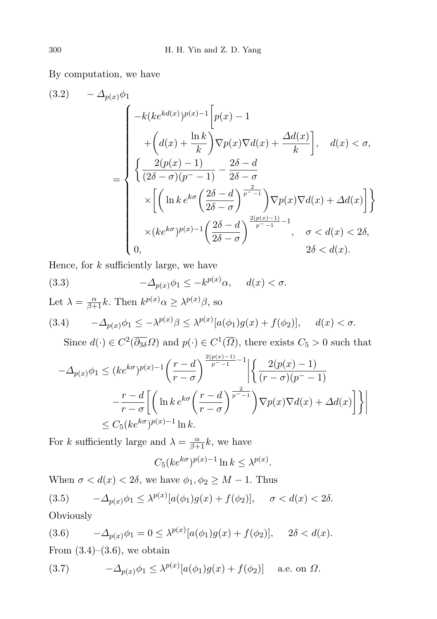By computation, we have

$$
(3.2) \quad -\Delta_{p(x)}\phi_1
$$
\n
$$
= \begin{cases}\n-k(ke^{kd(x)})^{p(x)-1} \left[ p(x) - 1 \right. \\
\left. + \left( d(x) + \frac{\ln k}{k} \right) \nabla p(x) \nabla d(x) + \frac{\Delta d(x)}{k} \right], \quad d(x) < \sigma, \\
\left\{ \frac{2(p(x)-1)}{(2\delta-\sigma)(p^{-}-1)} - \frac{2\delta-d}{2\delta-\sigma} \right. \\
\left. \times \left[ \left( \ln k \, e^{k\sigma} \left( \frac{2\delta-d}{2\delta-\sigma} \right)^{\frac{2}{p^{-}-1}} \right) \nabla p(x) \nabla d(x) + \Delta d(x) \right] \right\} \\
\times (ke^{k\sigma})^{p(x)-1} \left( \frac{2\delta-d}{2\delta-\sigma} \right)^{\frac{2(p(x)-1)}{p^{-}-1} - 1}, \quad \sigma < d(x) < 2\delta, \\
0, \quad 2\delta < d(x).\n\end{cases}
$$

Hence, for  $k$  sufficiently large, we have

(3.3) 
$$
-\Delta_{p(x)}\phi_1 \leq -k^{p(x)}\alpha, \quad d(x) < \sigma.
$$

Let  $\lambda = \frac{\alpha}{\beta+1}k$ . Then  $k^{p(x)}\alpha \geq \lambda^{p(x)}\beta$ , so

$$
(3.4) \qquad -\Delta_{p(x)}\phi_1 \le -\lambda^{p(x)}\beta \le \lambda^{p(x)}[a(\phi_1)g(x) + f(\phi_2)], \qquad d(x) < \sigma.
$$

Since  $d(\cdot) \in C^2(\overline{\partial_{3\delta}}\Omega)$  and  $p(\cdot) \in C^1(\overline{\Omega})$ , there exists  $C_5 > 0$  such that

$$
-\Delta_{p(x)}\phi_1 \le (ke^{k\sigma})^{p(x)-1} \left(\frac{r-d}{r-\sigma}\right)^{\frac{2(p(x)-1)}{p^--1}-1} \left| \left\{ \frac{2(p(x)-1)}{(r-\sigma)(p^--1)} - \frac{r-d}{r-\sigma} \left[ \left(\ln k \, e^{k\sigma} \left(\frac{r-d}{r-\sigma}\right)^{\frac{2}{p^--1}} \right) \nabla p(x) \nabla d(x) + \Delta d(x) \right] \right\} \right|
$$
  

$$
\le C_5 (ke^{k\sigma})^{p(x)-1} \ln k.
$$

For k sufficiently large and  $\lambda = \frac{\alpha}{\beta + 1}k$ , we have

$$
C_5(ke^{k\sigma})^{p(x)-1}\ln k \le \lambda^{p(x)}.
$$

When  $\sigma < d(x) < 2\delta$ , we have  $\phi_1, \phi_2 \geq M - 1$ . Thus (3.5)  $-\Delta_{p(x)}\phi_1 \leq \lambda^{p(x)}[a(\phi_1)g(x) + f(\phi_2)], \quad \sigma < d(x) < 2\delta.$ **Obviously** 

(3.6) 
$$
-\Delta_{p(x)}\phi_1 = 0 \le \lambda^{p(x)}[a(\phi_1)g(x) + f(\phi_2)], \quad 2\delta < d(x).
$$

From  $(3.4)$ – $(3.6)$ , we obtain

(3.7) 
$$
-\Delta_{p(x)}\phi_1 \leq \lambda^{p(x)}[a(\phi_1)g(x) + f(\phi_2)] \quad \text{a.e. on } \Omega.
$$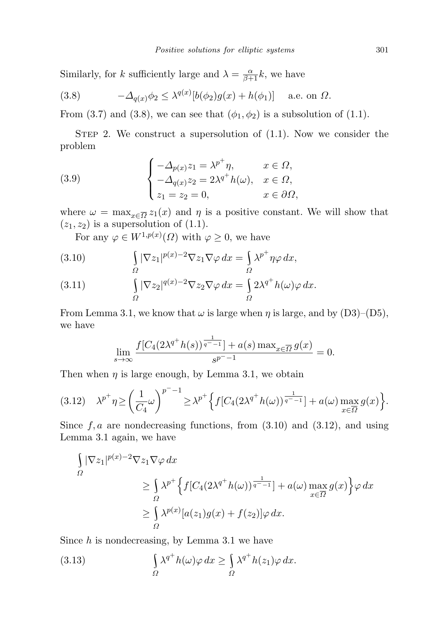Similarly, for k sufficiently large and  $\lambda = \frac{\alpha}{\beta+1}k$ , we have

(3.8) 
$$
-\Delta_{q(x)}\phi_2 \leq \lambda^{q(x)}[b(\phi_2)g(x) + h(\phi_1)] \quad \text{a.e. on } \Omega.
$$

From (3.7) and (3.8), we can see that  $(\phi_1, \phi_2)$  is a subsolution of (1.1).

STEP 2. We construct a supersolution of  $(1.1)$ . Now we consider the problem

(3.9) 
$$
\begin{cases}\n-\Delta_{p(x)}z_1 = \lambda^{p^+}\eta, & x \in \Omega, \\
-\Delta_{q(x)}z_2 = 2\lambda^{q^+}h(\omega), & x \in \Omega, \\
z_1 = z_2 = 0, & x \in \partial\Omega,\n\end{cases}
$$

where  $\omega = \max_{x \in \overline{\Omega}} z_1(x)$  and  $\eta$  is a positive constant. We will show that  $(z_1, z_2)$  is a supersolution of  $(1.1)$ .

For any  $\varphi \in W^{1,p(x)}(\Omega)$  with  $\varphi \geq 0$ , we have

(3.10) 
$$
\int_{\Omega} |\nabla z_1|^{p(x)-2} \nabla z_1 \nabla \varphi \, dx = \int_{\Omega} \lambda^{p^+} \eta \varphi \, dx,
$$

(3.11) 
$$
\int_{\Omega} |\nabla z_2|^{q(x)-2} \nabla z_2 \nabla \varphi \, dx = \int_{\Omega} 2\lambda^{q^+} h(\omega) \varphi \, dx.
$$

From Lemma 3.1, we know that  $\omega$  is large when  $\eta$  is large, and by (D3)–(D5), we have

$$
\lim_{s \to \infty} \frac{f[C_4(2\lambda^{q^+} h(s))^{\frac{1}{q^- - 1}}] + a(s) \max_{x \in \overline{\Omega}} g(x)}{s^{p^- - 1}} = 0.
$$

Then when  $\eta$  is large enough, by Lemma 3.1, we obtain

$$
(3.12)\quad \lambda^{p^+}\eta \geq \left(\frac{1}{C_4}\omega\right)^{p^- - 1} \geq \lambda^{p^+}\Big\{f[C_4(2\lambda^{q^+}h(\omega))^{\frac{1}{q^- - 1}}] + a(\omega)\max_{x \in \overline{\Omega}}g(x)\Big\}.
$$

Since  $f, a$  are nondecreasing functions, from  $(3.10)$  and  $(3.12)$ , and using Lemma 3.1 again, we have

$$
\int_{\Omega} |\nabla z_1|^{p(x)-2} \nabla z_1 \nabla \varphi \, dx
$$
\n
$$
\geq \int_{\Omega} \lambda^{p^+} \Big\{ f[C_4(2\lambda^{q^+} h(\omega))^\frac{1}{q^--1}] + a(\omega) \max_{x \in \overline{\Omega}} g(x) \Big\} \varphi \, dx
$$
\n
$$
\geq \int_{\Omega} \lambda^{p(x)} [a(z_1)g(x) + f(z_2)] \varphi \, dx.
$$

Since  $h$  is nondecreasing, by Lemma 3.1 we have

(3.13) 
$$
\int_{\Omega} \lambda^{q^+} h(\omega) \varphi \, dx \ge \int_{\Omega} \lambda^{q^+} h(z_1) \varphi \, dx.
$$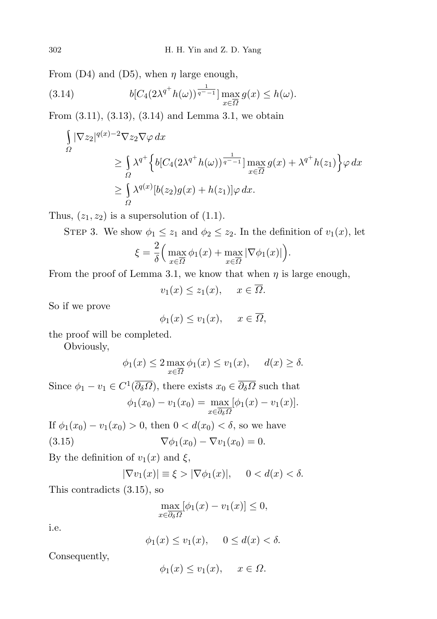From (D4) and (D5), when  $\eta$  large enough,

(3.14) 
$$
b[C_4(2\lambda^{q^+}h(\omega))^{\frac{1}{q^--1}}] \max_{x \in \overline{\Omega}} g(x) \le h(\omega).
$$

From (3.11), (3.13), (3.14) and Lemma 3.1, we obtain

$$
\int_{\Omega} |\nabla z_2|^{q(x)-2} \nabla z_2 \nabla \varphi \, dx
$$
\n
$$
\geq \int_{\Omega} \lambda^{q^+} \Big\{ b[C_4(2\lambda^{q^+} h(\omega))^\frac{1}{q^- - 1}] \max_{x \in \overline{\Omega}} g(x) + \lambda^{q^+} h(z_1) \Big\} \varphi \, dx
$$
\n
$$
\geq \int_{\Omega} \lambda^{q(x)} [b(z_2)g(x) + h(z_1)] \varphi \, dx.
$$

Thus,  $(z_1, z_2)$  is a supersolution of  $(1.1)$ .

STEP 3. We show  $\phi_1 \leq z_1$  and  $\phi_2 \leq z_2$ . In the definition of  $v_1(x)$ , let

$$
\xi = \frac{2}{\delta} \Big( \max_{x \in \overline{\Omega}} \phi_1(x) + \max_{x \in \overline{\Omega}} |\nabla \phi_1(x)| \Big).
$$

From the proof of Lemma 3.1, we know that when  $\eta$  is large enough,

 $v_1(x) \leq z_1(x), \quad x \in \overline{\Omega}.$ 

So if we prove

$$
\phi_1(x) \le v_1(x), \quad x \in \overline{\Omega},
$$

the proof will be completed.

Obviously,

$$
\phi_1(x) \le 2 \max_{x \in \overline{\Omega}} \phi_1(x) \le v_1(x), \quad d(x) \ge \delta.
$$

Since  $\phi_1 - v_1 \in C^1(\overline{\partial_{\delta}\Omega})$ , there exists  $x_0 \in \overline{\partial_{\delta}\Omega}$  such that  $\phi_1(x_0) - v_1(x_0) = \max$  $x\in\partial_{\delta}\Omega$  $[\phi_1(x) - v_1(x)].$ 

If  $\phi_1(x_0) - v_1(x_0) > 0$ , then  $0 < d(x_0) < \delta$ , so we have (3.15)  $\nabla \phi_1(x_0) - \nabla v_1(x_0) = 0.$ 

By the definition of  $v_1(x)$  and  $\xi$ ,

$$
|\nabla v_1(x)| \equiv \xi > |\nabla \phi_1(x)|, \quad 0 < d(x) < \delta.
$$

This contradicts (3.15), so

$$
\max_{x \in \overline{\partial_{\delta} \Omega}} [\phi_1(x) - v_1(x)] \le 0,
$$

i.e.

$$
\phi_1(x) \le v_1(x), \quad 0 \le d(x) < \delta.
$$

Consequently,

$$
\phi_1(x) \le v_1(x), \quad x \in \Omega.
$$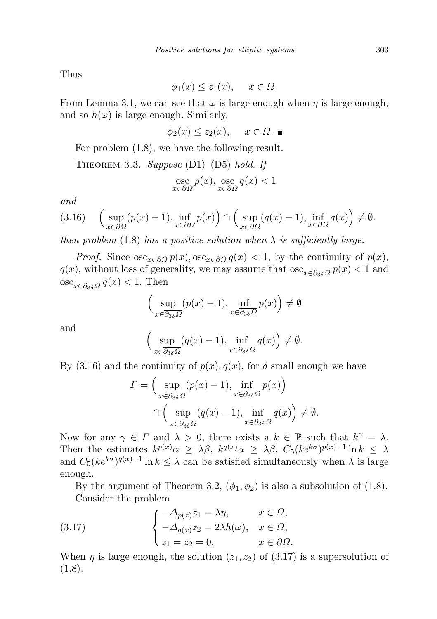Thus

$$
\phi_1(x) \le z_1(x), \quad x \in \Omega.
$$

From Lemma 3.1, we can see that  $\omega$  is large enough when  $\eta$  is large enough, and so  $h(\omega)$  is large enough. Similarly,

 $\phi_2(x) \leq z_2(x), \quad x \in \Omega.$ 

For problem (1.8), we have the following result.

THEOREM 3.3. Suppose (D1)–(D5) hold. If  
\n
$$
\underset{x \in \partial \Omega}{\text{osc}} p(x), \underset{x \in \partial \Omega}{\text{osc}} q(x) < 1
$$

and

$$
(3.16)\quad \left(\sup_{x\in\partial\Omega}(p(x)-1),\inf_{x\in\partial\Omega}p(x)\right)\cap \left(\sup_{x\in\partial\Omega}(q(x)-1),\inf_{x\in\partial\Omega}q(x)\right)\neq\emptyset.
$$

then problem (1.8) has a positive solution when  $\lambda$  is sufficiently large.

*Proof.* Since  $\csc_{x \in \partial \Omega} p(x)$ ,  $\csc_{x \in \partial \Omega} q(x) < 1$ , by the continuity of  $p(x)$ ,  $q(x)$ , without loss of generality, we may assume that  $\csc_{x \in \overline{\partial_{3\delta}\Omega}} p(x) < 1$  and  $\operatorname{osc}_{x \in \overline{\partial_{3\delta} \Omega}} q(x) < 1$ . Then

$$
\Big(\sup_{x\in\overline{\partial_{3\delta}\Omega}}(p(x)-1),\inf_{x\in\overline{\partial_{3\delta}\Omega}}p(x)\Big)\neq\emptyset
$$

and

$$
\Big(\sup_{x\in\overline{\partial_3\delta\Omega}}(q(x)-1),\inf_{x\in\overline{\partial_3\delta\Omega}}q(x)\Big)\neq\emptyset.
$$

By (3.16) and the continuity of  $p(x)$ ,  $q(x)$ , for  $\delta$  small enough we have

$$
\Gamma = \left(\sup_{x \in \overline{\partial_{3\delta} \Omega}} (p(x) - 1), \inf_{x \in \overline{\partial_{3\delta} \Omega}} p(x)\right)
$$

$$
\cap \left(\sup_{x \in \overline{\partial_{3\delta} \Omega}} (q(x) - 1), \inf_{x \in \overline{\partial_{3\delta} \Omega}} q(x)\right) \neq \emptyset.
$$

Now for any  $\gamma \in \Gamma$  and  $\lambda > 0$ , there exists a  $k \in \mathbb{R}$  such that  $k^{\gamma} = \lambda$ . Then the estimates  $k^{p(x)}\alpha \geq \lambda\beta$ ,  $k^{q(x)}\alpha \geq \lambda\beta$ ,  $C_5(ke^{k\sigma})^{p(x)-1}\ln k \leq \lambda$ and  $C_5(ke^{k\sigma})^{q(x)-1}\ln k \leq \lambda$  can be satisfied simultaneously when  $\lambda$  is large enough.

By the argument of Theorem 3.2,  $(\phi_1, \phi_2)$  is also a subsolution of (1.8). Consider the problem

(3.17) 
$$
\begin{cases}\n-\Delta_{p(x)}z_1 = \lambda \eta, & x \in \Omega, \\
-\Delta_{q(x)}z_2 = 2\lambda h(\omega), & x \in \Omega, \\
z_1 = z_2 = 0, & x \in \partial\Omega.\n\end{cases}
$$

When  $\eta$  is large enough, the solution  $(z_1, z_2)$  of  $(3.17)$  is a supersolution of  $(1.8).$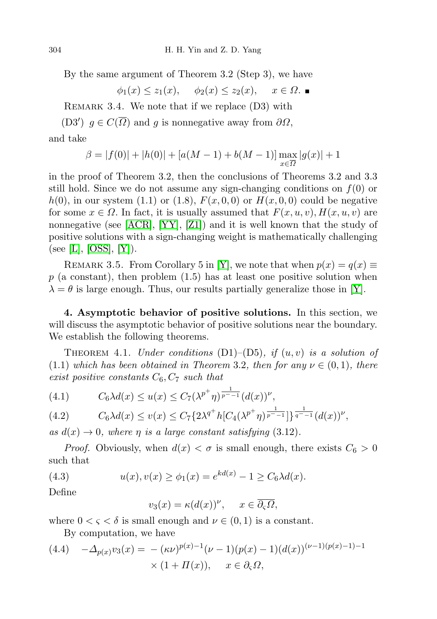By the same argument of Theorem 3.2 (Step 3), we have

 $\phi_1(x) \leq z_1(x), \quad \phi_2(x) \leq z_2(x), \quad x \in \Omega.$ 

REMARK 3.4. We note that if we replace  $(D3)$  with

(D3')  $g \in C(\overline{\Omega})$  and g is nonnegative away from  $\partial \Omega$ , and take

> $\beta = |f(0)| + |h(0)| + [a(M-1) + b(M-1)] \max$ x∈Ω  $|g(x)| + 1$

in the proof of Theorem 3.2, then the conclusions of Theorems 3.2 and 3.3 still hold. Since we do not assume any sign-changing conditions on  $f(0)$  or  $h(0)$ , in our system (1.1) or (1.8),  $F(x, 0, 0)$  or  $H(x, 0, 0)$  could be negative for some  $x \in \Omega$ . In fact, it is usually assumed that  $F(x, u, v)$ ,  $H(x, u, v)$  are nonnegative (see  $[ACR]$ ,  $[YY]$ ,  $[Z1]$ ) and it is well known that the study of positive solutions with a sign-changing weight is mathematically challenging (see [\[L\]](#page-14-16), [\[OSS\]](#page-14-17), [\[Y\]](#page-15-4)).

REMARK 3.5. From Corollary 5 in [\[Y\]](#page-15-4), we note that when  $p(x) = q(x) \equiv$  $p$  (a constant), then problem  $(1.5)$  has at least one positive solution when  $\lambda = \theta$  is large enough. Thus, our results partially generalize those in [\[Y\]](#page-15-4).

4. Asymptotic behavior of positive solutions. In this section, we will discuss the asymptotic behavior of positive solutions near the boundary. We establish the following theorems.

THEOREM 4.1. Under conditions  $(D1)$ – $(D5)$ , if  $(u, v)$  is a solution of  $(1.1)$  which has been obtained in Theorem 3.2, then for any  $\nu \in (0,1)$ , there exist positive constants  $C_6, C_7$  such that

(4.1) 
$$
C_6 \lambda d(x) \le u(x) \le C_7 (\lambda^{p^+} \eta)^{\frac{1}{p^- - 1}} (d(x))^{\nu},
$$

$$
(4.2) \tC_6\lambda d(x) \le v(x) \le C_7 \{ 2\lambda^{q^+} h[C_4(\lambda^{p^+}\eta)^{\frac{1}{p^--1}}] \}^{\frac{1}{q^--1}} (d(x))^{\nu},
$$

as  $d(x) \to 0$ , where  $\eta$  is a large constant satisfying (3.12).

*Proof.* Obviously, when  $d(x) < \sigma$  is small enough, there exists  $C_6 > 0$ such that

(4.3) 
$$
u(x), v(x) \ge \phi_1(x) = e^{kd(x)} - 1 \ge C_6 \lambda d(x).
$$

Define

$$
v_3(x) = \kappa (d(x))^{\nu}, \quad x \in \overline{\partial_{\varsigma}\Omega},
$$

where  $0 < \varsigma < \delta$  is small enough and  $\nu \in (0,1)$  is a constant.

By computation, we have

(4.4) 
$$
-\Delta_{p(x)} v_3(x) = -(\kappa \nu)^{p(x)-1} (\nu - 1)(p(x) - 1)(d(x))^{(\nu - 1)(p(x)-1)-1}
$$

$$
\times (1 + \Pi(x)), \quad x \in \partial_{\varsigma} \Omega,
$$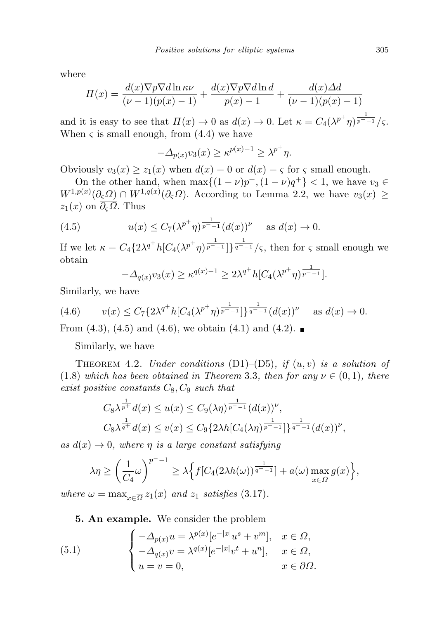where

$$
\Pi(x) = \frac{d(x)\nabla p\nabla d\ln \kappa \nu}{(\nu - 1)(p(x) - 1)} + \frac{d(x)\nabla p\nabla d\ln d}{p(x) - 1} + \frac{d(x)\Delta d}{(\nu - 1)(p(x) - 1)}
$$

and it is easy to see that  $\Pi(x) \to 0$  as  $d(x) \to 0$ . Let  $\kappa = C_4(\lambda^{p^+}\eta)^{\frac{1}{p^--1}}/\varsigma$ . When  $\varsigma$  is small enough, from  $(4.4)$  we have

$$
-\Delta_{p(x)}v_3(x) \ge \kappa^{p(x)-1} \ge \lambda^{p^+}\eta.
$$

Obviously  $v_3(x) \ge z_1(x)$  when  $d(x) = 0$  or  $d(x) = \varsigma$  for  $\varsigma$  small enough.

On the other hand, when  $\max\{(1-\nu)p^+, (1-\nu)q^+\} < 1$ , we have  $v_3 \in$  $W^{1,p(x)}(\partial_{\varsigma}\Omega) \cap W^{1,q(x)}(\partial_{\varsigma}\Omega)$ . According to Lemma 2.2, we have  $v_3(x) \geq$  $z_1(x)$  on  $\overline{\partial_{\varsigma}\Omega}$ . Thus

(4.5) 
$$
u(x) \le C_7(\lambda^{p^+}\eta)^{\frac{1}{p^--1}}(d(x))^{\nu} \text{ as } d(x) \to 0.
$$

If we let  $\kappa = C_4 \{2\lambda^{q^+} h [C_4(\lambda^{p^+}\eta)^{\frac{1}{p^--1}}] \}^{\frac{1}{q^--1}}/\varsigma$ , then for  $\varsigma$  small enough we obtain

$$
-\Delta_{q(x)}v_3(x) \ge \kappa^{q(x)-1} \ge 2\lambda^{q^+}h[C_4(\lambda^{p^+}\eta)^{\frac{1}{p^--1}}].
$$

Similarly, we have

$$
(4.6) \t v(x) \le C_7 \{ 2\lambda^{q^+} h [C_4(\lambda^{p^+} \eta)^{\frac{1}{p^- - 1}}] \}^{\frac{1}{q^- - 1}} (d(x))^{\nu} \text{ as } d(x) \to 0.
$$

From  $(4.3)$ ,  $(4.5)$  and  $(4.6)$ , we obtain  $(4.1)$  and  $(4.2)$ .

Similarly, we have

THEOREM 4.2. Under conditions  $(D1)$ – $(D5)$ , if  $(u, v)$  is a solution of (1.8) which has been obtained in Theorem 3.3, then for any  $\nu \in (0,1)$ , there exist positive constants  $C_8, C_9$  such that

$$
C_8 \lambda^{\frac{1}{p^+}} d(x) \le u(x) \le C_9(\lambda \eta)^{\frac{1}{p^--1}} (d(x))^{\nu},
$$
  

$$
C_8 \lambda^{\frac{1}{q^+}} d(x) \le v(x) \le C_9 \{2\lambda h [C_4(\lambda \eta)^{\frac{1}{p^--1}}] \}^{\frac{1}{q^--1}} (d(x))^{\nu},
$$

as  $d(x) \rightarrow 0$ , where  $\eta$  is a large constant satisfying

$$
\lambda \eta \ge \left(\frac{1}{C_4} \omega\right)^{p^- - 1} \ge \lambda \Big\{ f[C_4(2\lambda h(\omega))^{\frac{1}{q^- - 1}}] + a(\omega) \max_{x \in \overline{\Omega}} g(x) \Big\},\,
$$

where  $\omega = \max_{x \in \overline{\Omega}} z_1(x)$  and  $z_1$  satisfies (3.17).

5. An example. We consider the problem

(5.1) 
$$
\begin{cases}\n-\Delta_{p(x)}u = \lambda^{p(x)}[e^{-|x|}u^s + v^m], & x \in \Omega, \\
-\Delta_{q(x)}v = \lambda^{q(x)}[e^{-|x|}v^t + u^n], & x \in \Omega, \\
u = v = 0, & x \in \partial\Omega.\n\end{cases}
$$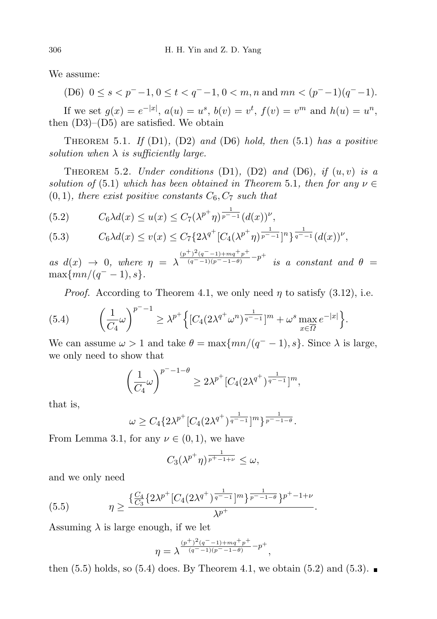We assume:

(D6) 
$$
0 \le s < p^- - 1, 0 \le t < q^- - 1, 0 < m, n \text{ and } mn < (p^- - 1)(q^- - 1).
$$

If we set  $g(x) = e^{-|x|}, a(u) = u^s, b(v) = v^t, f(v) = v^m$  and  $h(u) = u^n$ , then  $(D3)$ – $(D5)$  are satisfied. We obtain

THEOREM 5.1. If  $(D1)$ ,  $(D2)$  and  $(D6)$  hold, then  $(5.1)$  has a positive solution when  $\lambda$  is sufficiently large.

THEOREM 5.2. Under conditions  $(D1)$ ,  $(D2)$  and  $(D6)$ , if  $(u, v)$  is a solution of (5.1) which has been obtained in Theorem 5.1, then for any  $\nu \in$  $(0, 1)$ , there exist positive constants  $C_6, C_7$  such that

(5.2) 
$$
C_6 \lambda d(x) \le u(x) \le C_7 (\lambda^{p^+} \eta)^{\frac{1}{p^- - 1}} (d(x))^{\nu},
$$

$$
(5.3) \tC_6\lambda d(x) \le v(x) \le C_7 \{ 2\lambda^{q^+} [C_4(\lambda^{p^+}\eta)^{\frac{1}{p^--1}}]^n \}^{\frac{1}{q^--1}} (d(x))^{\nu},
$$

as  $d(x) \rightarrow 0$ , where  $\eta = \lambda$  $(p^{+})^{2}(q^{-}-1)+mq^{+}p^{+}$  $\frac{(q^{2}-1)+mq+p^{2}}{(q^{2}-1)(p^{2}-1-\theta)}-p^{+}$  is a constant and  $\theta =$  $\max\{mn/(q^--1),s\}.$ 

*Proof.* According to Theorem 4.1, we only need  $\eta$  to satisfy (3.12), i.e.

(5.4) 
$$
\left(\frac{1}{C_4}\omega\right)^{p^- - 1} \geq \lambda^{p^+} \left\{ [C_4(2\lambda^{q^+}\omega^n)^{\frac{1}{q^- - 1}}]^m + \omega^s \max_{x \in \overline{\Omega}} e^{-|x|} \right\}.
$$

We can assume  $\omega > 1$  and take  $\theta = \max\{mn/(q^{-} - 1), s\}$ . Since  $\lambda$  is large, we only need to show that

$$
\left(\frac{1}{C_4}\omega\right)^{p^- - 1 - \theta} \ge 2\lambda^{p^+} [C_4(2\lambda^{q^+})^{\frac{1}{q^- - 1}}]^m,
$$

that is,

$$
\omega \geq C_4 \{ 2\lambda^{p^+} [C_4 (2\lambda^{q^+})^{\frac{1}{q^- - 1}}]^m \}^{\frac{1}{p^- - 1 - \theta}}.
$$

From Lemma 3.1, for any  $\nu \in (0,1)$ , we have

$$
C_3(\lambda^{p^+}\eta)^{\frac{1}{p^+-1+\nu}} \leq \omega,
$$

and we only need

(5.5) 
$$
\eta \ge \frac{\left\{\frac{C_4}{C_3} \left\{2\lambda^{p^+} [C_4 (2\lambda^{q^+})^{\frac{1}{q^- - 1}}]^m \right\}^{\frac{1}{p^- - 1 - \theta}} \right\}^{p^+ - 1 + \nu}}{\lambda^{p^+}}.
$$

Assuming  $\lambda$  is large enough, if we let

$$
\eta = \lambda^{\frac{(p^+)^2(q^--1)+mq^+p^+}{(q^--1)(p^--1-\theta)}}^{-p^+},
$$

then  $(5.5)$  holds, so  $(5.4)$  does. By Theorem 4.1, we obtain  $(5.2)$  and  $(5.3)$ .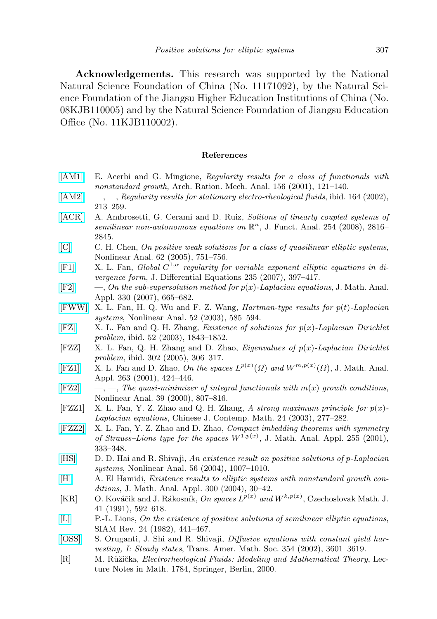Acknowledgements. This research was supported by the National Natural Science Foundation of China (No. 11171092), by the Natural Science Foundation of the Jiangsu Higher Education Institutions of China (No. 08KJB110005) and by the Natural Science Foundation of Jiangsu Education Office (No. 11KJB110002).

## References

- <span id="page-14-1"></span>[\[AM1\]](http://dx.doi.org/10.1007/s002050100117) E. Acerbi and G. Mingione, Regularity results for a class of functionals with nonstandard growth, Arch. Ration. Mech. Anal. 156 (2001), 121–140.
- <span id="page-14-2"></span>[\[AM2\]](http://dx.doi.org/10.1007/s00205-002-0208-7)  $\quad -$ ,  $\quad$ , Regularity results for stationary electro-rheological fluids, ibid. 164 (2002), 213–259.
- <span id="page-14-15"></span>[\[ACR\]](http://dx.doi.org/10.1016/j.jfa.2007.11.013) A. Ambrosetti, G. Cerami and D. Ruiz, Solitons of linearly coupled systems of semilinear non-autonomous equations on  $\mathbb{R}^n$ , J. Funct. Anal. 254 (2008), 2816-2845.
- <span id="page-14-9"></span>[\[C\]](http://dx.doi.org/10.1016/j.na.2005.04.007) C. H. Chen, On positive weak solutions for a class of quasilinear elliptic systems, Nonlinear Anal. 62 (2005), 751–756.
- <span id="page-14-3"></span>[\[F1\]](http://dx.doi.org/10.1016/j.jde.2007.01.008) X. L. Fan, Global  $C^{1,\alpha}$  regularity for variable exponent elliptic equations in divergence form, J. Differential Equations 235 (2007), 397–417.
- <span id="page-14-14"></span> $[F2] \qquad \qquad \text{—, } On the sub-supersolution method for p(x)-Laplacian equations, J. Math. Anal.$  $[F2] \qquad \qquad \text{—, } On the sub-supersolution method for p(x)-Laplacian equations, J. Math. Anal.$ Appl. 330 (2007), 665–682.
- <span id="page-14-7"></span>[\[FWW\]](http://dx.doi.org/10.1016/S0362-546X(02)00124-4) X. L. Fan, H. Q. Wu and F. Z. Wang, Hartman-type results for  $p(t)$ -Laplacian systems, Nonlinear Anal. 52 (2003), 585–594.
- <span id="page-14-6"></span> $[FZ]$  X. L. Fan and Q. H. Zhang, *Existence of solutions for p(x)-Laplacian Dirichlet* problem, ibid. 52 (2003), 1843–1852.
- <span id="page-14-11"></span> $[{\rm FZZ}]$  X. L. Fan, Q. H. Zhang and D. Zhao, *Eigenvalues of*  $p(x)$ *-Laplacian Dirichlet* problem, ibid. 302 (2005), 306–317.
- <span id="page-14-4"></span>[\[FZ1\]](http://dx.doi.org/10.1006/jmaa.2000.7617) X. L. Fan and D. Zhao, On the spaces  $L^{p(x)}(\Omega)$  and  $W^{m,p(x)}(\Omega)$ , J. Math. Anal. Appl. 263 (2001), 424–446.
- <span id="page-14-5"></span> $[{\rm FZ2}] \quad -,-$ , The quasi-minimizer of integral functionals with  $m(x)$  growth conditions, Nonlinear Anal. 39 (2000), 807–816.
- [FZZ1] X. L. Fan, Y. Z. Zhao and Q. H. Zhang, A strong maximum principle for  $p(x)$ -Laplacian equations, Chinese J. Contemp. Math. 24 (2003), 277–282.
- <span id="page-14-12"></span>[\[FZZ2\]](http://dx.doi.org/10.1006/jmaa.2000.7266) X. L. Fan, Y. Z. Zhao and D. Zhao, Compact imbedding theorems with symmetry of Strauss–Lions type for the spaces  $W^{1,p(x)}$ , J. Math. Anal. Appl. 255 (2001), 333–348.
- <span id="page-14-10"></span>[\[HS\]](http://dx.doi.org/10.1016/j.na.2003.10.024) D. D. Hai and R. Shivaji, An existence result on positive solutions of p-Laplacian systems, Nonlinear Anal. 56 (2004), 1007–1010.
- <span id="page-14-8"></span>[\[H\]](http://dx.doi.org/10.1016/j.jmaa.2004.05.041) A. El Hamidi, Existence results to elliptic systems with nonstandard growth conditions, J. Math. Anal. Appl. 300 (2004), 30–42.
- <span id="page-14-13"></span>[KR] O. Kováčik and J. Rákosník, On spaces  $L^{p(x)}$  and  $W^{k,p(x)}$ , Czechoslovak Math. J. 41 (1991), 592–618.
- <span id="page-14-16"></span>[\[L\]](http://dx.doi.org/10.1137/1024101) P.-L. Lions, On the existence of positive solutions of semilinear elliptic equations, SIAM Rev. 24 (1982), 441–467.
- <span id="page-14-17"></span>[\[OSS\]](http://dx.doi.org/10.1090/S0002-9947-02-03005-2) S. Oruganti, J. Shi and R. Shivaji, Diffusive equations with constant yield harvesting, I: Steady states, Trans. Amer. Math. Soc. 354 (2002), 3601–3619.
- <span id="page-14-0"></span>[R] M. Růžička, *Electrorheological Fluids: Modeling and Mathematical Theory*, Lecture Notes in Math. 1784, Springer, Berlin, 2000.